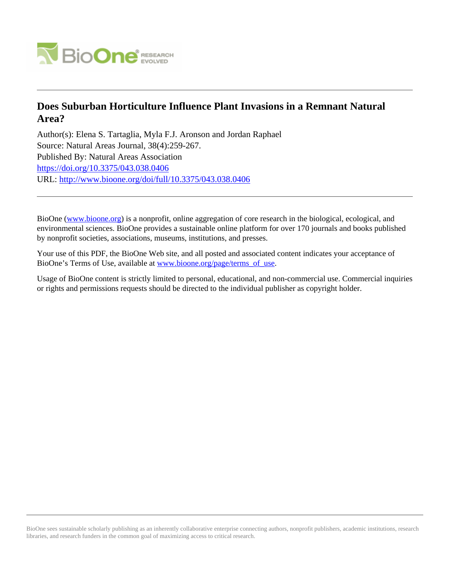

# **Does Suburban Horticulture Influence Plant Invasions in a Remnant Natural Area?**

Author(s): Elena S. Tartaglia, Myla F.J. Aronson and Jordan Raphael Source: Natural Areas Journal, 38(4):259-267. Published By: Natural Areas Association <https://doi.org/10.3375/043.038.0406> URL: <http://www.bioone.org/doi/full/10.3375/043.038.0406>

BioOne [\(www.bioone.org\)](http://www.bioone.org) is a nonprofit, online aggregation of core research in the biological, ecological, and environmental sciences. BioOne provides a sustainable online platform for over 170 journals and books published by nonprofit societies, associations, museums, institutions, and presses.

Your use of this PDF, the BioOne Web site, and all posted and associated content indicates your acceptance of BioOne's Terms of Use, available at [www.bioone.org/page/terms\\_of\\_use.](http://www.bioone.org/page/terms_of_use)

Usage of BioOne content is strictly limited to personal, educational, and non-commercial use. Commercial inquiries or rights and permissions requests should be directed to the individual publisher as copyright holder.

BioOne sees sustainable scholarly publishing as an inherently collaborative enterprise connecting authors, nonprofit publishers, academic institutions, research libraries, and research funders in the common goal of maximizing access to critical research.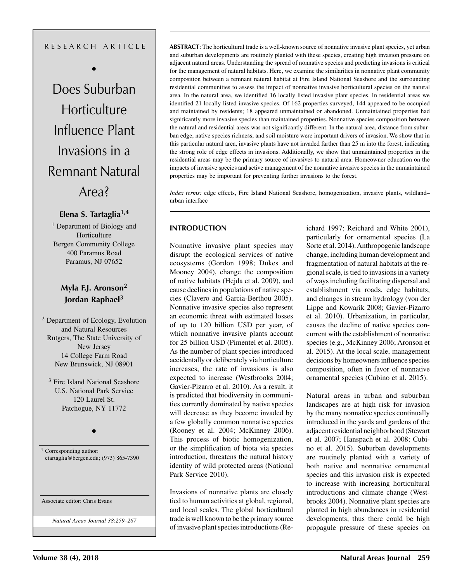## R E S E A R C H A R T I C L E

•

Does Suburban **Horticulture** Influence Plant Invasions in a Remnant Natural Area?

## **Elena S. Tartaglia1,4**

<sup>1</sup> Department of Biology and Horticulture Bergen Community College 400 Paramus Road Paramus, NJ 07652

## **Myla F.J. Aronson2 Jordan Raphael3**

2 Department of Ecology, Evolution and Natural Resources Rutgers, The State University of New Jersey 14 College Farm Road New Brunswick, NJ 08901

3 Fire Island National Seashore U.S. National Park Service 120 Laurel St. Patchogue, NY 11772

•

<sup>4</sup> Corresponding author: etartaglia@bergen.edu; (973) 865-7390

Associate editor: Chris Evans

*Natural Areas Journal 38:259–267*

**ABSTRACT**: The horticultural trade is a well-known source of nonnative invasive plant species, yet urban and suburban developments are routinely planted with these species, creating high invasion pressure on adjacent natural areas. Understanding the spread of nonnative species and predicting invasions is critical for the management of natural habitats. Here, we examine the similarities in nonnative plant community composition between a remnant natural habitat at Fire Island National Seashore and the surrounding residential communities to assess the impact of nonnative invasive horticultural species on the natural area. In the natural area, we identified 16 locally listed invasive plant species. In residential areas we identified 21 locally listed invasive species. Of 162 properties surveyed, 144 appeared to be occupied and maintained by residents; 18 appeared unmaintained or abandoned. Unmaintained properties had significantly more invasive species than maintained properties. Nonnative species composition between the natural and residential areas was not significantly different. In the natural area, distance from suburban edge, native species richness, and soil moisture were important drivers of invasion. We show that in this particular natural area, invasive plants have not invaded farther than 25 m into the forest, indicating the strong role of edge effects in invasions. Additionally, we show that unmaintained properties in the residential areas may be the primary source of invasives to natural area. Homeowner education on the impacts of invasive species and active management of the nonnative invasive species in the unmaintained properties may be important for preventing further invasions to the forest.

*Index terms:* edge effects, Fire Island National Seashore, homogenization, invasive plants, wildland– urban interface

## **INTRODUCTION**

Nonnative invasive plant species may disrupt the ecological services of native ecosystems (Gordon 1998; Dukes and Mooney 2004), change the composition of native habitats (Hejda et al. 2009), and cause declines in populations of native species (Clavero and Garcia-Berthou 2005). Nonnative invasive species also represent an economic threat with estimated losses of up to 120 billion USD per year, of which nonnative invasive plants account for 25 billion USD (Pimentel et al. 2005). As the number of plant species introduced accidentally or deliberately via horticulture increases, the rate of invasions is also expected to increase (Westbrooks 2004; Gavier-Pizarro et al. 2010). As a result, it is predicted that biodiversity in communities currently dominated by native species will decrease as they become invaded by a few globally common nonnative species (Rooney et al. 2004; McKinney 2006). This process of biotic homogenization, or the simplification of biota via species introduction, threatens the natural history identity of wild protected areas (National Park Service 2010).

Invasions of nonnative plants are closely tied to human activities at global, regional, and local scales. The global horticultural trade is well known to be the primary source of invasive plant species introductions (Reichard 1997; Reichard and White 2001), particularly for ornamental species (La Sorte et al. 2014). Anthropogenic landscape change, including human development and fragmentation of natural habitats at the regional scale, is tied to invasions in a variety of ways including facilitating dispersal and establishment via roads, edge habitats, and changes in stream hydrology (von der Lippe and Kowarik 2008; Gavier-Pizarro et al. 2010). Urbanization, in particular, causes the decline of native species concurrent with the establishment of nonnative species (e.g., McKinney 2006; Aronson et al. 2015). At the local scale, management decisions by homeowners influence species composition, often in favor of nonnative ornamental species (Cubino et al. 2015).

Natural areas in urban and suburban landscapes are at high risk for invasion by the many nonnative species continually introduced in the yards and gardens of the adjacent residential neighborhood (Stewart et al. 2007; Hanspach et al. 2008; Cubino et al. 2015). Suburban developments are routinely planted with a variety of both native and nonnative ornamental species and this invasion risk is expected to increase with increasing horticultural introductions and climate change (Westbrooks 2004). Nonnative plant species are planted in high abundances in residential developments, thus there could be high propagule pressure of these species on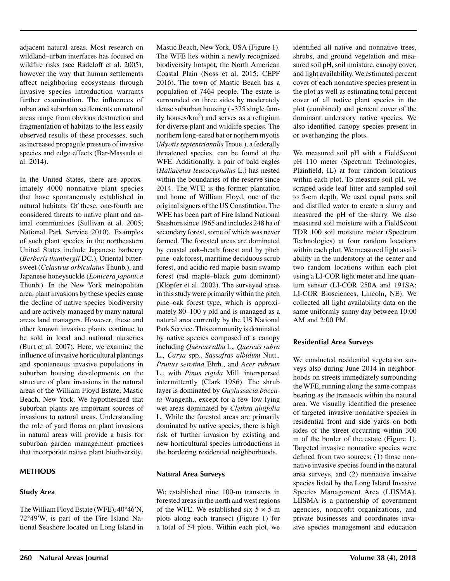adjacent natural areas. Most research on wildland–urban interfaces has focused on wildfire risks (see Radeloff et al. 2005), however the way that human settlements affect neighboring ecosystems through invasive species introduction warrants further examination. The influences of urban and suburban settlements on natural areas range from obvious destruction and fragmentation of habitats to the less easily observed results of these processes, such as increased propagule pressure of invasive species and edge effects (Bar-Massada et al. 2014).

In the United States, there are approximately 4000 nonnative plant species that have spontaneously established in natural habitats. Of these, one-fourth are considered threats to native plant and animal communities (Sullivan et al. 2005; National Park Service 2010). Examples of such plant species in the northeastern United States include Japanese barberry (*Berberis thunbergii* DC.), Oriental bittersweet (*Celastrus orbiculatus* Thunb.), and Japanese honeysuckle (*Lonicera japonica* Thunb.). In the New York metropolitan area, plant invasions by these species cause the decline of native species biodiversity and are actively managed by many natural areas land managers. However, these and other known invasive plants continue to be sold in local and national nurseries (Burt et al. 2007). Here, we examine the influence of invasive horticultural plantings and spontaneous invasive populations in suburban housing developments on the structure of plant invasions in the natural areas of the William Floyd Estate, Mastic Beach, New York. We hypothesized that suburban plants are important sources of invasions to natural areas. Understanding the role of yard floras on plant invasions in natural areas will provide a basis for suburban garden management practices that incorporate native plant biodiversity.

#### **METHODS**

## **Study Area**

The William Floyd Estate (WFE), 40°46′N, 72°49′W, is part of the Fire Island National Seashore located on Long Island in Mastic Beach, New York, USA (Figure 1). The WFE lies within a newly recognized biodiversity hotspot, the North American Coastal Plain (Noss et al. 2015; CEPF 2016). The town of Mastic Beach has a population of 7464 people. The estate is surrounded on three sides by moderately dense suburban housing (~375 single family houses/ $km^2$ ) and serves as a refugium for diverse plant and wildlife species. The northern long-eared bat or northern myotis (*Myotis septentrionalis* Troue.), a federally threatened species, can be found at the WFE. Additionally, a pair of bald eagles (*Haliaeetus leucocephalus* L.) has nested within the boundaries of the reserve since 2014. The WFE is the former plantation and home of William Floyd, one of the original signers of the US Constitution. The WFE has been part of Fire Island National Seashore since 1965 and includes 248 ha of secondary forest, some of which was never farmed. The forested areas are dominated by coastal oak–heath forest and by pitch pine–oak forest, maritime deciduous scrub forest, and acidic red maple basin swamp forest (red maple–black gum dominant) (Klopfer et al. 2002). The surveyed areas in this study were primarily within the pitch pine–oak forest type, which is approximately 80–100 y old and is managed as a natural area currently by the US National Park Service. This community is dominated by native species composed of a canopy including *Quercus alba* L.*, Quercus rubra*  L.*, Carya* spp., *Sassafras albidum* Nutt.*, Prunus serotina* Ehrh., and *Acer rubrum*  L., with *Pinus rigida* Mill. interspersed intermittently (Clark 1986). The shrub layer is dominated by *Gaylussacia baccata* Wangenh., except for a few low-lying wet areas dominated by *Clethra alnifolia*  L. While the forested areas are primarily dominated by native species, there is high risk of further invasion by existing and new horticultural species introductions in the bordering residential neighborhoods.

## **Natural Area Surveys**

We established nine 100-m transects in forested areas in the north and west regions of the WFE. We established six  $5 \times 5$ -m plots along each transect (Figure 1) for a total of 54 plots. Within each plot, we

identified all native and nonnative trees, shrubs, and ground vegetation and measured soil pH, soil moisture, canopy cover, and light availability. We estimated percent cover of each nonnative species present in the plot as well as estimating total percent cover of all native plant species in the plot (combined) and percent cover of the dominant understory native species. We also identified canopy species present in or overhanging the plots.

We measured soil pH with a FieldScout pH 110 meter (Spectrum Technologies, Plainfield, IL) at four random locations within each plot. To measure soil pH, we scraped aside leaf litter and sampled soil to 5-cm depth. We used equal parts soil and distilled water to create a slurry and measured the pH of the slurry. We also measured soil moisture with a FieldScout TDR 100 soil moisture meter (Spectrum Technologies) at four random locations within each plot. We measured light availability in the understory at the center and two random locations within each plot using a LI-COR light meter and line quantum sensor (LI-COR 250A and 191SA; LI-COR Biosciences, Lincoln, NE). We collected all light availability data on the same uniformly sunny day between 10:00 AM and 2:00 PM.

## **Residential Area Surveys**

We conducted residential vegetation surveys also during June 2014 in neighborhoods on streets immediately surrounding the WFE, running along the same compass bearing as the transects within the natural area. We visually identified the presence of targeted invasive nonnative species in residential front and side yards on both sides of the street occurring within 300 m of the border of the estate (Figure 1). Targeted invasive nonnative species were defined from two sources: (1) those nonnative invasive species found in the natural area surveys, and (2) nonnative invasive species listed by the Long Island Invasive Species Management Area (LIISMA). LIISMA is a partnership of government agencies, nonprofit organizations, and private businesses and coordinates invasive species management and education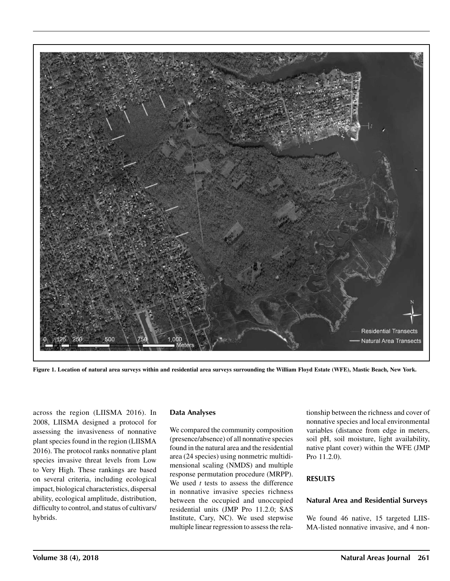

**Figure 1. Location of natural area surveys within and residential area surveys surrounding the William Floyd Estate (WFE), Mastic Beach, New York.**

across the region (LIISMA 2016). In 2008, LIISMA designed a protocol for assessing the invasiveness of nonnative plant species found in the region (LIISMA 2016). The protocol ranks nonnative plant species invasive threat levels from Low to Very High. These rankings are based on several criteria, including ecological impact, biological characteristics, dispersal ability, ecological amplitude, distribution, difficulty to control, and status of cultivars/ hybrids.

#### **Data Analyses**

We compared the community composition (presence/absence) of all nonnative species found in the natural area and the residential area (24 species) using nonmetric multidimensional scaling (NMDS) and multiple response permutation procedure (MRPP). We used *t* tests to assess the difference in nonnative invasive species richness between the occupied and unoccupied residential units (JMP Pro 11.2.0; SAS Institute, Cary, NC). We used stepwise multiple linear regression to assess the relationship between the richness and cover of nonnative species and local environmental variables (distance from edge in meters, soil pH, soil moisture, light availability, native plant cover) within the WFE (JMP Pro 11.2.0).

#### **RESULTS**

### **Natural Area and Residential Surveys**

We found 46 native, 15 targeted LIIS-MA-listed nonnative invasive, and 4 non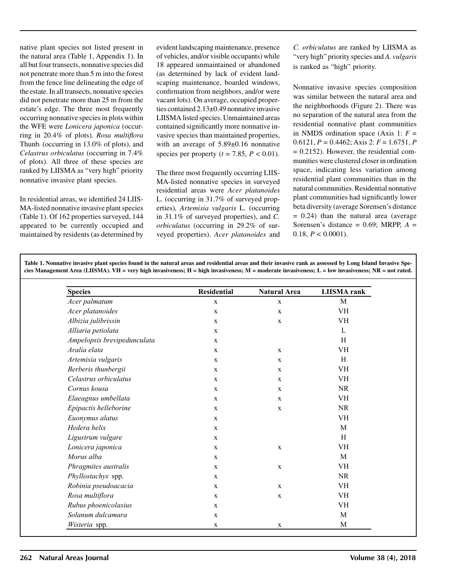native plant species not listed present in the natural area (Table 1, Appendix 1). In all but four transects, nonnative species did not penetrate more than 5 m into the forest from the fence line delineating the edge of the estate. In all transects, nonnative species did not penetrate more than 25 m from the estate's edge. The three most frequently occurring nonnative species in plots within the WFE were *Lonicera japonica* (occurring in 20.4% of plots)*, Rosa multiflora* Thunb. (occurring in 13.0% of plots), and *Celastrus orbiculatus* (occurring in 7.4% of plots)*.* All three of these species are ranked by LIISMA as "very high" priority nonnative invasive plant species.

In residential areas, we identified 24 LIIS-MA-listed nonnative invasive plant species (Table 1). Of 162 properties surveyed, 144 appeared to be currently occupied and maintained by residents (as determined by evident landscaping maintenance, presence of vehicles, and/or visible occupants) while 18 appeared unmaintained or abandoned (as determined by lack of evident landscaping maintenance, boarded windows, confirmation from neighbors, and/or were vacant lots). On average, occupied properties contained 2.13±0.49 nonnative invasive LIISMA listed species. Unmaintained areas contained significantly more nonnative invasive species than maintained properties, with an average of  $5.89\pm0.16$  nonnative species per property ( $t = 7.85$ ,  $P < 0.01$ ).

The three most frequently occurring LIIS-MA-listed nonnative species in surveyed residential areas were *Acer platanoides*  L. (occurring in 31.7% of surveyed properties)*, Artemisia vulgaris* L. (occurring in 31.1% of surveyed properties), and *C. orbiculatus* (occurring in 29.2% of surveyed properties). *Acer platanoides* and

**Table 1. Nonnative invasive plant species found in the natural areas and residential areas and their invasive rank as assessed by Long Island Invasive Spe-**

*C. orbiculatus* are ranked by LIISMA as "very high" priority species and *A. vulgaris*  is ranked as "high" priority.

Nonnative invasive species composition was similar between the natural area and the neighborhoods (Figure 2). There was no separation of the natural area from the residential nonnative plant communities in NMDS ordination space (Axis 1:  $F =$ 0.6121, *P =* 0.4462; Axis 2: *F* = 1.6751, *P*  $= 0.2152$ ). However, the residential communities were clustered closer in ordination space, indicating less variation among residential plant communities than in the natural communities. Residential nonnative plant communities had significantly lower beta diversity (average Sorensen's distance  $= 0.24$ ) than the natural area (average Sorensen's distance = 0.69; MRPP, *A* = 0.18,  $P < 0.0001$ ).

| <b>Species</b>              | Residential  | <b>Natural Area</b> | <b>LIISMA</b> rank |
|-----------------------------|--------------|---------------------|--------------------|
| Acer palmatum               | $\mathbf X$  | $\mathbf X$         | M                  |
| Acer platanoides            | $\mathbf X$  | $\mathbf x$         | VH                 |
| Albizia julibrissin         | $\mathbf x$  | X                   | VH                 |
| Alliaria petiolata          | $\mathbf x$  |                     | L                  |
| Ampelopsis brevipedunculata | $\mathbf x$  |                     | H                  |
| Aralia elata                | $\mathbf{X}$ | $\mathbf{x}$        | VH                 |
| Artemisia vulgaris          | $\mathbf X$  | $\mathbf{X}$        | H                  |
| Berberis thunbergii         | $\mathbf X$  | $\mathbf x$         | <b>VH</b>          |
| Celastrus orbiculatus       | $\mathbf X$  | X                   | VH                 |
| Cornus kousa                | $\mathbf X$  | $\mathbf X$         | <b>NR</b>          |
| Elaeagnus umbellata         | $\mathbf X$  | $\mathbf x$         | <b>VH</b>          |
| Epipactis helleborine       | $\mathbf X$  | $\mathbf X$         | <b>NR</b>          |
| Euonymus alatus             | $\mathbf X$  |                     | <b>VH</b>          |
| Hedera helix                | $\mathbf X$  |                     | M                  |
| Ligustrum vulgare           | $\mathbf X$  |                     | H                  |
| Lonicera japonica           | $\mathbf X$  | $\mathbf X$         | VH                 |
| Morus alba                  | $\mathbf x$  |                     | M                  |
| Phragmites australis        | $\mathbf X$  | $\mathbf X$         | <b>VH</b>          |
| Phyllostachys spp.          | $\mathbf{X}$ |                     | <b>NR</b>          |
| Robinia pseudoacacia        | $\mathbf X$  | $\mathbf{X}$        | VH                 |
| Rosa multiflora             | $\mathbf X$  | $\mathbf x$         | VH                 |
| Rubus phoenicolasius        | $\mathbf X$  |                     | <b>VH</b>          |
| Solanum dulcamara           | $\mathbf x$  |                     | M                  |
| Wisteria spp.               | $\mathbf X$  | $\mathbf X$         | M                  |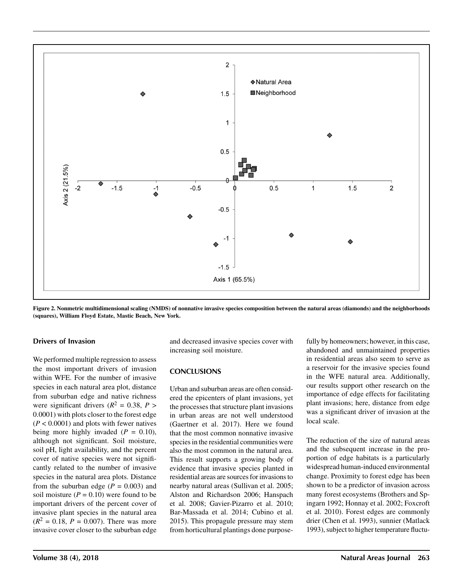

**Figure 2. Nonmetric multidimensional scaling (NMDS) of nonnative invasive species composition between the natural areas (diamonds) and the neighborhoods (squares), William Floyd Estate, Mastic Beach, New York.**

#### **Drivers of Invasion**

We performed multiple regression to assess the most important drivers of invasion within WFE. For the number of invasive species in each natural area plot, distance from suburban edge and native richness were significant drivers ( $R^2 = 0.38$ ,  $P >$ 0.0001) with plots closer to the forest edge (*P* < 0.0001) and plots with fewer natives being more highly invaded  $(P = 0.10)$ , although not significant. Soil moisture, soil pH, light availability, and the percent cover of native species were not significantly related to the number of invasive species in the natural area plots. Distance from the suburban edge  $(P = 0.003)$  and soil moisture  $(P = 0.10)$  were found to be important drivers of the percent cover of invasive plant species in the natural area  $(R^2 = 0.18, P = 0.007)$ . There was more invasive cover closer to the suburban edge and decreased invasive species cover with increasing soil moisture.

## **CONCLUSIONS**

Urban and suburban areas are often considered the epicenters of plant invasions, yet the processes that structure plant invasions in urban areas are not well understood (Gaertner et al. 2017). Here we found that the most common nonnative invasive species in the residential communities were also the most common in the natural area. This result supports a growing body of evidence that invasive species planted in residential areas are sources for invasions to nearby natural areas (Sullivan et al. 2005; Alston and Richardson 2006; Hanspach et al. 2008; Gavier-Pizarro et al. 2010; Bar-Massada et al. 2014; Cubino et al. 2015). This propagule pressure may stem from horticultural plantings done purposefully by homeowners; however, in this case, abandoned and unmaintained properties in residential areas also seem to serve as a reservoir for the invasive species found in the WFE natural area. Additionally, our results support other research on the importance of edge effects for facilitating plant invasions; here, distance from edge was a significant driver of invasion at the local scale.

The reduction of the size of natural areas and the subsequent increase in the proportion of edge habitats is a particularly widespread human-induced environmental change. Proximity to forest edge has been shown to be a predictor of invasion across many forest ecosystems (Brothers and Spingarn 1992; Honnay et al. 2002; Foxcroft et al. 2010). Forest edges are commonly drier (Chen et al. 1993), sunnier (Matlack 1993), subject to higher temperature fluctu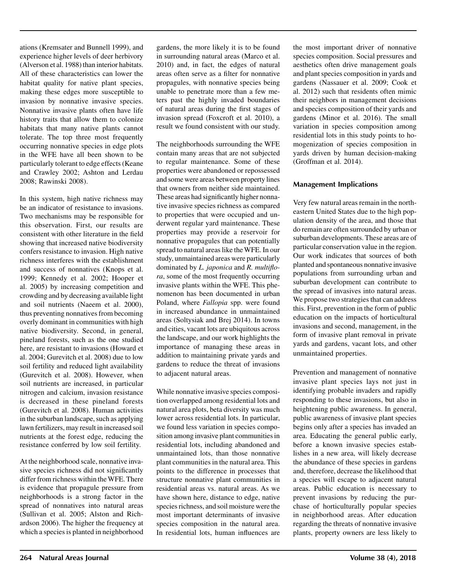ations (Kremsater and Bunnell 1999), and experience higher levels of deer herbivory (Alverson et al. 1988) than interior habitats. All of these characteristics can lower the habitat quality for native plant species, making these edges more susceptible to invasion by nonnative invasive species. Nonnative invasive plants often have life history traits that allow them to colonize habitats that many native plants cannot tolerate. The top three most frequently occurring nonnative species in edge plots in the WFE have all been shown to be particularly tolerant to edge effects (Keane and Crawley 2002; Ashton and Lerdau 2008; Rawinski 2008).

In this system, high native richness may be an indicator of resistance to invasions. Two mechanisms may be responsible for this observation. First, our results are consistent with other literature in the field showing that increased native biodiversity confers resistance to invasion. High native richness interferes with the establishment and success of nonnatives (Knops et al. 1999; Kennedy et al. 2002; Hooper et al. 2005) by increasing competition and crowding and by decreasing available light and soil nutrients (Naeem et al. 2000), thus preventing nonnatives from becoming overly dominant in communities with high native biodiversity. Second, in general, pineland forests, such as the one studied here, are resistant to invasions (Howard et al. 2004; Gurevitch et al. 2008) due to low soil fertility and reduced light availability (Gurevitch et al. 2008). However, when soil nutrients are increased, in particular nitrogen and calcium, invasion resistance is decreased in these pineland forests (Gurevitch et al. 2008). Human activities in the suburban landscape, such as applying lawn fertilizers, may result in increased soil nutrients at the forest edge, reducing the resistance conferred by low soil fertility.

At the neighborhood scale, nonnative invasive species richness did not significantly differ from richness within the WFE. There is evidence that propagule pressure from neighborhoods is a strong factor in the spread of nonnatives into natural areas (Sullivan et al. 2005; Alston and Richardson 2006). The higher the frequency at which a species is planted in neighborhood

gardens, the more likely it is to be found in surrounding natural areas (Marco et al. 2010) and, in fact, the edges of natural areas often serve as a filter for nonnative propagules, with nonnative species being unable to penetrate more than a few meters past the highly invaded boundaries of natural areas during the first stages of invasion spread (Foxcroft et al. 2010), a result we found consistent with our study.

The neighborhoods surrounding the WFE contain many areas that are not subjected to regular maintenance. Some of these properties were abandoned or repossessed and some were areas between property lines that owners from neither side maintained. These areas had significantly higher nonnative invasive species richness as compared to properties that were occupied and underwent regular yard maintenance. These properties may provide a reservoir for nonnative propagules that can potentially spread to natural areas like the WFE. In our study, unmaintained areas were particularly dominated by *L. japonica* and *R. multiflora*, some of the most frequently occurring invasive plants within the WFE. This phenomenon has been documented in urban Poland, where *Fallopia* spp. were found in increased abundance in unmaintained areas (Soltysiak and Brej 2014). In towns and cities, vacant lots are ubiquitous across the landscape, and our work highlights the importance of managing these areas in addition to maintaining private yards and gardens to reduce the threat of invasions to adjacent natural areas.

While nonnative invasive species composition overlapped among residential lots and natural area plots, beta diversity was much lower across residential lots. In particular, we found less variation in species composition among invasive plant communities in residential lots, including abandoned and unmaintained lots, than those nonnative plant communities in the natural area. This points to the difference in processes that structure nonnative plant communities in residential areas vs. natural areas. As we have shown here, distance to edge, native species richness, and soil moisture were the most important determinants of invasive species composition in the natural area. In residential lots, human influences are

the most important driver of nonnative species composition. Social pressures and aesthetics often drive management goals and plant species composition in yards and gardens (Nassauer et al. 2009; Cook et al. 2012) such that residents often mimic their neighbors in management decisions and species composition of their yards and gardens (Minor et al. 2016). The small variation in species composition among residential lots in this study points to homogenization of species composition in yards driven by human decision-making (Groffman et al. 2014).

### **Management Implications**

Very few natural areas remain in the northeastern United States due to the high population density of the area, and those that do remain are often surrounded by urban or suburban developments. These areas are of particular conservation value in the region. Our work indicates that sources of both planted and spontaneous nonnative invasive populations from surrounding urban and suburban development can contribute to the spread of invasives into natural areas. We propose two strategies that can address this. First, prevention in the form of public education on the impacts of horticultural invasions and second, management, in the form of invasive plant removal in private yards and gardens, vacant lots, and other unmaintained properties.

Prevention and management of nonnative invasive plant species lays not just in identifying probable invaders and rapidly responding to these invasions, but also in heightening public awareness. In general, public awareness of invasive plant species begins only after a species has invaded an area. Educating the general public early, before a known invasive species establishes in a new area, will likely decrease the abundance of these species in gardens and, therefore, decrease the likelihood that a species will escape to adjacent natural areas. Public education is necessary to prevent invasions by reducing the purchase of horticulturally popular species in neighborhood areas. After education regarding the threats of nonnative invasive plants, property owners are less likely to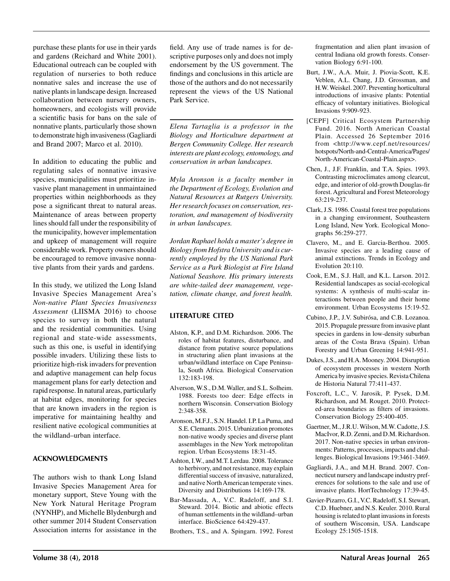purchase these plants for use in their yards and gardens (Reichard and White 2001). Educational outreach can be coupled with regulation of nurseries to both reduce nonnative sales and increase the use of native plants in landscape design. Increased collaboration between nursery owners, homeowners, and ecologists will provide a scientific basis for bans on the sale of nonnative plants, particularly those shown to demonstrate high invasiveness (Gagliardi and Brand 2007; Marco et al. 2010).

In addition to educating the public and regulating sales of nonnative invasive species, municipalities must prioritize invasive plant management in unmaintained properties within neighborhoods as they pose a significant threat to natural areas. Maintenance of areas between property lines should fall under the responsibility of the municipality, however implementation and upkeep of management will require considerable work. Property owners should be encouraged to remove invasive nonnative plants from their yards and gardens.

In this study, we utilized the Long Island Invasive Species Management Area's *Non-native Plant Species Invasiveness Assessment* (LIISMA 2016) to choose species to survey in both the natural and the residential communities. Using regional and state-wide assessments, such as this one, is useful in identifying possible invaders. Utilizing these lists to prioritize high-risk invaders for prevention and adaptive management can help focus management plans for early detection and rapid response. In natural areas, particularly at habitat edges, monitoring for species that are known invaders in the region is imperative for maintaining healthy and resilient native ecological communities at the wildland–urban interface.

## **ACKNOWLEDGMENTS**

The authors wish to thank Long Island Invasive Species Management Area for monetary support, Steve Young with the New York Natural Heritage Program (NYNHP), and Michelle Blydenburgh and other summer 2014 Student Conservation Association interns for assistance in the field. Any use of trade names is for descriptive purposes only and does not imply endorsement by the US government. The findings and conclusions in this article are those of the authors and do not necessarily represent the views of the US National Park Service.

*Elena Tartaglia is a professor in the Biology and Horticulture department at Bergen Community College. Her research interests are plant ecology, entomology, and conservation in urban landscapes.*

*Myla Aronson is a faculty member in the Department of Ecology, Evolution and Natural Resources at Rutgers University. Her research focuses on conservation, restoration, and management of biodiversity in urban landscapes.*

*Jordan Raphael holds a master's degree in Biology from Hofstra University and is currently employed by the US National Park Service as a Park Biologist at Fire Island National Seashore. His primary interests are white-tailed deer management, vegetation, climate change, and forest health.*

## **LITERATURE CITED**

- Alston, K.P., and D.M. Richardson. 2006. The roles of habitat features, disturbance, and distance from putative source populations in structuring alien plant invasions at the urban/wildland interface on Cape Peninsula, South Africa. Biological Conservation 132:183-198.
- Alverson, W.S., D.M. Waller, and S.L. Solheim. 1988. Forests too deer: Edge effects in northern Wisconsin. Conservation Biology 2:348-358.
- Aronson, M.F.J., S.N. Handel. I.P. La Puma, and S.E. Clemants. 2015. Urbanization promotes non-native woody species and diverse plant assemblages in the New York metropolitan region. Urban Ecosystems 18:31-45.
- Ashton, I.W., and M.T. Lerdau. 2008. Tolerance to herbivory, and not resistance, may explain differential success of invasive, naturalized, and native North American temperate vines. Diversity and Distributions 14:169-178.
- Bar-Massada, A., V.C. Radeloff, and S.I. Steward. 2014. Biotic and abiotic effects of human settlements in the wildland–urban interface. BioScience 64:429-437.

Brothers, T.S., and A. Spingarn. 1992. Forest

fragmentation and alien plant invasion of central Indiana old growth forests. Conservation Biology 6:91-100.

- Burt, J.W., A.A. Muir, J. Piovia-Scott, K.E. Veblen, A.L. Chang, J.D. Grossman, and H.W. Weiskel. 2007. Preventing horticultural introductions of invasive plants: Potential efficacy of voluntary initiatives. Biological Invasions 9:909-923.
- [CEPF] Critical Ecosystem Partnership Fund. 2016. North American Coastal Plain. Accessed 26 September 2016 from <http://www.cepf.net/resources/ hotspots/North-and-Central-America/Pages/ North-American-Coastal-Plain.aspx>.
- Chen, J., J.F. Franklin, and T.A. Spies. 1993. Contrasting microclimates among clearcut, edge, and interior of old-growth Douglas-fir forest. Agricultural and Forest Meteorology 63:219-237.
- Clark, J.S. 1986. Coastal forest tree populations in a changing environment, Southeastern Long Island, New York. Ecological Monographs 56:259-277.
- Clavero, M., and E. Garcia-Berthou. 2005. Invasive species are a leading cause of animal extinctions. Trends in Ecology and Evolution 20:110.
- Cook, E.M., S.J. Hall, and K.L. Larson. 2012. Residential landscapes as social-ecological systems: A synthesis of multi-scalar interactions between people and their home environment. Urban Ecosystems 15:19-52.
- Cubino, J.P., J.V. Subirósa, and C.B. Lozanoa. 2015. Propagule pressure from invasive plant species in gardens in low-density suburban areas of the Costa Brava (Spain). Urban Forestry and Urban Greening 14:941-951.
- Dukes, J.S., and H.A. Mooney. 2004. Disruption of ecosystem processes in western North America by invasive species. Revista Chilena de Historia Natural 77:411-437.
- Foxcroft, L.C., V. Jarosik, P. Pysek, D.M. Richardson, and M. Rouget. 2010. Protected-area boundaries as filters of invasions. Conservation Biology 25:400-405.
- Gaertner, M., J.R.U. Wilson, M.W. Cadotte, J.S. MacIvor, R.D. Zenni, and D.M. Richardson. 2017. Non-native species in urban environments: Patterns, processes, impacts and challenges. Biological Invasions 19:3461-3469.
- Gagliardi, J.A., and M.H. Brand. 2007. Connecticut nursery and landscape industry preferences for solutions to the sale and use of invasive plants. HortTechnology 17:39-45.
- Gavier-Pizarro, G.I., V.C. Radeloff, S.I. Stewart, C.D. Huebner, and N.S. Keuler. 2010. Rural housing is related to plant invasions in forests of southern Wisconsin, USA. Landscape Ecology 25:1505-1518.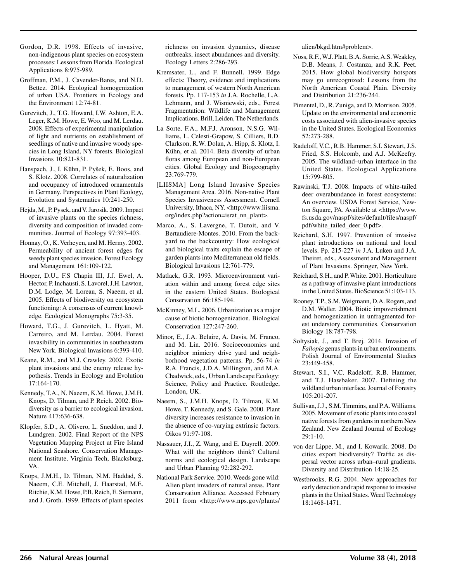- Gordon, D.R. 1998. Effects of invasive, non-indigenous plant species on ecosystem processes: Lessons from Florida. Ecological Applications 8:975-989.
- Groffman, P.M., J. Cavender-Bares, and N.D. Bettez*.* 2014. Ecological homogenization of urban USA. Frontiers in Ecology and the Environment 12:74-81.
- Gurevitch, J., T.G. Howard, I.W. Ashton, E.A. Leger, K.M. Howe, E. Woo, and M. Lerdau. 2008. Effects of experimental manipulation of light and nutrients on establishment of seedlings of native and invasive woody species in Long Island, NY forests. Biological Invasions 10:821-831.
- Hanspach, J., I. Kühn, P. Pyšek, E. Boos, and S. Klotz. 2008. Correlates of naturalization and occupancy of introduced ornamentals in Germany. Perspectives in Plant Ecology, Evolution and Systematics 10:241-250.
- Hejda, M., P. Pysek, and V. Jarosik. 2009. Impact of invasive plants on the species richness, diversity and composition of invaded communities. Journal of Ecology 97:393-403.
- Honnay, O., K. Verheyen, and M. Hermy. 2002. Permeability of ancient forest edges for weedy plant species invasion. Forest Ecology and Management 161:109-122.
- Hooper, D.U., F.S Chapin III, J.J. Ewel, A. Hector, P. Inchausti, S. Lavorel, J.H. Lawton, D.M. Lodge, M. Loreau, S. Naeem, et al. 2005. Effects of biodiversity on ecosystem functioning: A consensus of current knowledge. Ecological Monographs 75:3-35.
- Howard, T.G., J. Gurevitch, L. Hyatt, M. Carreiro, and M. Lerdau. 2004. Forest invasibility in communities in southeastern New York. Biological Invasions 6:393-410.
- Keane, R.M., and M.J. Crawley. 2002. Exotic plant invasions and the enemy release hypothesis. Trends in Ecology and Evolution 17:164-170.
- Kennedy, T.A., N. Naeem, K.M. Howe, J.M.H. Knops, D. Tilman, and P. Reich. 2002. Biodiversity as a barrier to ecological invasion. Nature 417:636-638.
- Klopfer, S.D., A. Olivero, L. Sneddon, and J. Lundgren. 2002. Final Report of the NPS Vegetation Mapping Project at Fire Island National Seashore. Conservation Management Institute, Virginia Tech, Blacksburg, VA.
- Knops, J.M.H., D. Tilman, N.M. Haddad, S. Naeem, C.E. Mitchell, J. Haarstad, M.E. Ritchie, K.M. Howe, P.B. Reich, E. Siemann, and J. Groth. 1999. Effects of plant species

richness on invasion dynamics, disease outbreaks, insect abundances and diversity. Ecology Letters 2:286-293.

- Kremsater, L., and F. Bunnell. 1999. Edge effects: Theory, evidence and implications to management of western North American forests. Pp. 117-153 *in* J.A. Rochelle, L.A. Lehmann, and J. Wisniewski, eds., Forest Fragmentation: Wildlife and Management Implications. Brill, Leiden, The Netherlands.
- La Sorte, F.A., M.F.J. Aronson, N.S.G. Williams, L. Celesti-Grapow, S. Cilliers, B.D. Clarkson, R.W. Dolan, A. Hipp, S. Klotz, I. Kühn, et al. 2014. Beta diversity of urban floras among European and non-European cities. Global Ecology and Biogeography 23:769-779.
- [LIISMA] Long Island Invasive Species Management Area. 2016. Non-native Plant Species Invasiveness Assessment. Cornell University, Ithaca, NY. <http://www.liisma. org/index.php?action=israt\_nn\_plant>.
- Marco, A., S. Lavergne, T. Dutoit, and V. Bertaudiere-Montes. 2010. From the backyard to the backcountry: How ecological and biological traits explain the escape of garden plants into Mediterranean old fields. Biological Invasions 12:761-779.
- Matlack, G.R. 1993. Microenvironment variation within and among forest edge sites in the eastern United States. Biological Conservation 66:185-194.
- McKinney, M.L. 2006. Urbanization as a major cause of biotic homogenization. Biological Conservation 127:247-260.
- Minor, E., J.A. Belaire, A. Davis, M. Franco, and M. Lin. 2016. Socioeconomics and neighbor mimicry drive yard and neighborhood vegetation patterns. Pp. 56-74 *in* R.A. Francis, J.D.A. Millington, and M.A. Chadwick, eds., Urban Landscape Ecology: Science, Policy and Practice. Routledge, London, UK.
- Naeem, S., J.M.H. Knops, D. Tilman, K.M. Howe, T. Kennedy, and S. Gale. 2000. Plant diversity increases resistance to invasion in the absence of co-varying extrinsic factors. Oikos 91:97-108.
- Nassauer, J.I., Z. Wang, and E. Dayrell. 2009. What will the neighbors think? Cultural norms and ecological design. Landscape and Urban Planning 92:282-292.
- National Park Service. 2010. Weeds gone wild: Alien plant invaders of natural areas. Plant Conservation Alliance. Accessed February 2011 from <http://www.nps.gov/plants/

alien/bkgd.htm#problem>.

- Noss, R.F., W.J. Platt, B.A. Sorrie, A.S. Weakley, D.B. Means, J. Costanza, and R.K. Peet. 2015. How global biodiversity hotspots may go unrecognized: Lessons from the North American Coastal Plain. Diversity and Distribution 21:236-244.
- Pimentel, D., R. Zuniga, and D. Morrison. 2005. Update on the environmental and economic costs associated with alien-invasive species in the United States. Ecological Economics 52:273-288.
- Radeloff, V.C., R.B. Hammer, S.I. Stewart, J.S. Fried, S.S. Holcomb, and A.J. McKeefry. 2005. The wildland–urban interface in the United States. Ecological Applications 15:799-805.
- Rawinski, T.J. 2008. Impacts of white-tailed deer overabundance in forest ecosystems: An overview. USDA Forest Service, Newton Square, PA. Available at <https://www. fs.usda.gov/naspf/sites/default/files/naspf/ pdf/white\_tailed\_deer\_0.pdf>.
- Reichard, S.H. 1997. Prevention of invasive plant introductions on national and local levels. Pp. 215-227 *in* J.A. Luken and J.A. Theiret, eds., Assessment and Management of Plant Invasions. Springer, New York.
- Reichard, S.H., and P. White. 2001. Horticulture as a pathway of invasive plant introductions in the United States. BioScience 51:103-113.
- Rooney, T.P., S.M. Weigmann, D.A. Rogers, and D.M. Waller. 2004. Biotic impoverishment and homogenization in unfragmented forest understory communities. Conservation Biology 18:787-798.
- Soltysiak, J., and T. Brej. 2014. Invasion of *Fallopia* genus plants in urban environments. Polish Journal of Environmental Studies 23:449-458.
- Stewart, S.I., V.C. Radeloff, R.B. Hammer, and T.J. Hawbaker. 2007. Defining the wildland urban interface. Journal of Forestry 105:201-207.
- Sullivan, J.J., S.M. Timmins, and P.A. Williams. 2005. Movement of exotic plants into coastal native forests from gardens in northern New Zealand. New Zealand Journal of Ecology 29:1-10.
- von der Lippe, M., and I. Kowarik. 2008. Do cities export biodiversity? Traffic as dispersal vector across urban–rural gradients. Diversity and Distribution 14:18-25.
- Westbrooks, R.G. 2004. New approaches for early detection and rapid response to invasive plants in the United States. Weed Technology 18:1468-1471.